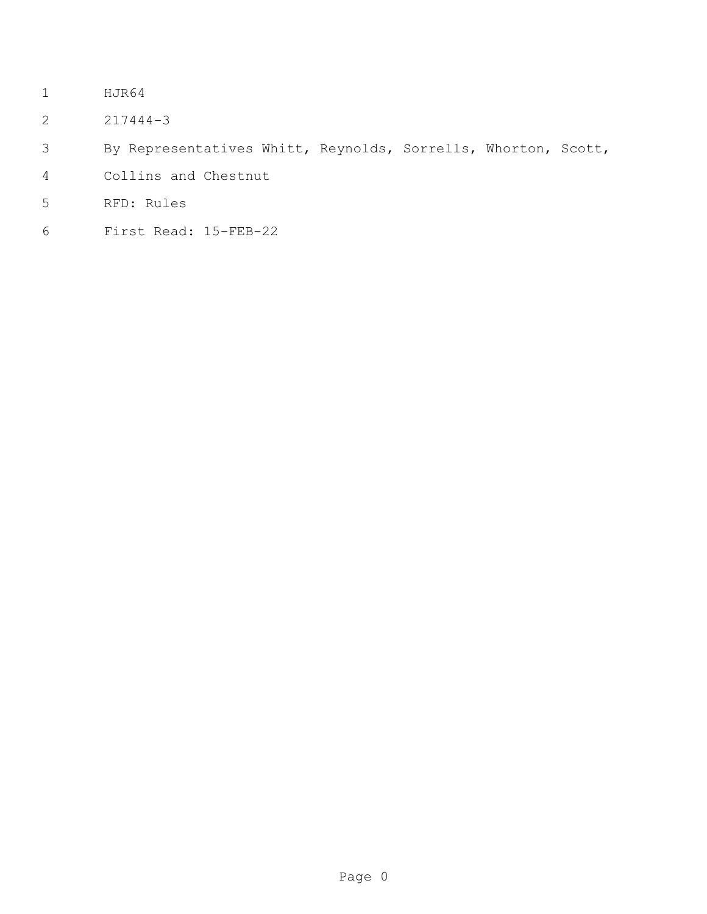- HJR64
- 217444-3
- By Representatives Whitt, Reynolds, Sorrells, Whorton, Scott,
- Collins and Chestnut
- RFD: Rules
- First Read: 15-FEB-22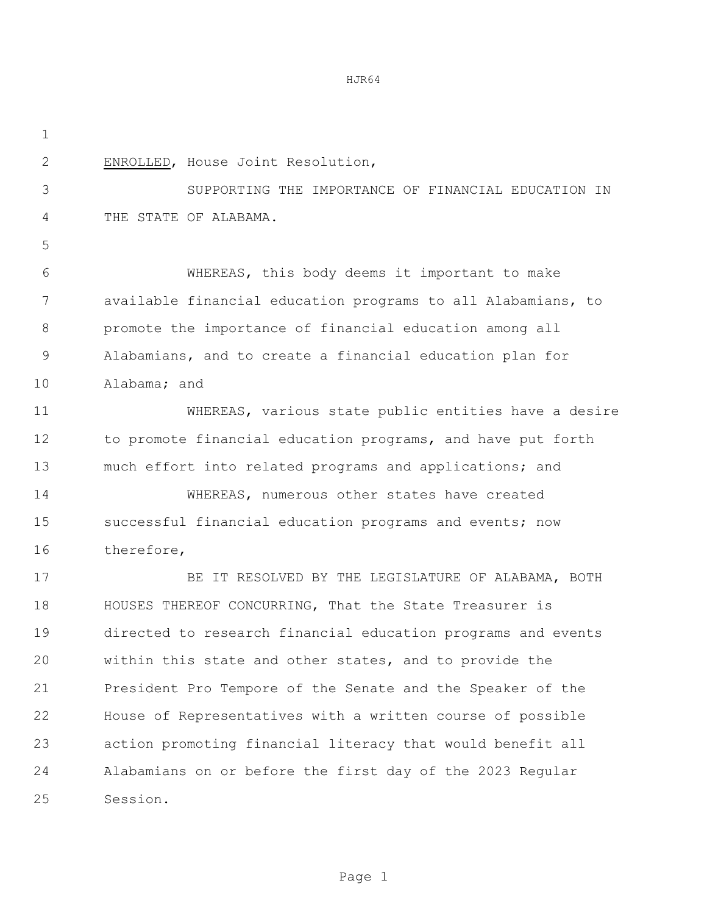HJR64

| $\mathbf 1$   |                                                              |
|---------------|--------------------------------------------------------------|
| $\mathbf{2}$  | ENROLLED, House Joint Resolution,                            |
| 3             | SUPPORTING THE IMPORTANCE OF FINANCIAL EDUCATION IN          |
| 4             | THE STATE OF ALABAMA.                                        |
| 5             |                                                              |
| 6             | WHEREAS, this body deems it important to make                |
| 7             | available financial education programs to all Alabamians, to |
| 8             | promote the importance of financial education among all      |
| $\mathcal{G}$ | Alabamians, and to create a financial education plan for     |
| 10            | Alabama; and                                                 |
| 11            | WHEREAS, various state public entities have a desire         |
| 12            | to promote financial education programs, and have put forth  |
| 13            | much effort into related programs and applications; and      |
| 14            | WHEREAS, numerous other states have created                  |
| 15            | successful financial education programs and events; now      |
| 16            | therefore,                                                   |
| 17            | BE IT RESOLVED BY THE LEGISLATURE OF ALABAMA, BOTH           |
| 18            | HOUSES THEREOF CONCURRING, That the State Treasurer is       |
| 19            | directed to research financial education programs and events |
| 20            | within this state and other states, and to provide the       |
| 21            | President Pro Tempore of the Senate and the Speaker of the   |
| 22            | House of Representatives with a written course of possible   |
| 23            | action promoting financial literacy that would benefit all   |
| 24            | Alabamians on or before the first day of the 2023 Regular    |
| 25            | Session.                                                     |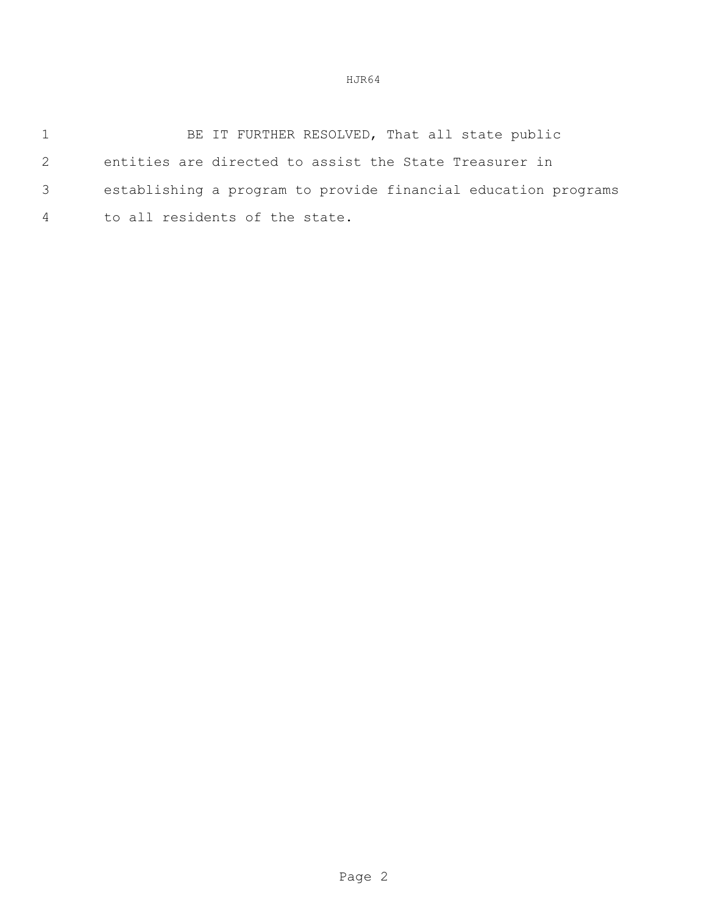HJR64

1 BE IT FURTHER RESOLVED, That all state public entities are directed to assist the State Treasurer in establishing a program to provide financial education programs to all residents of the state.